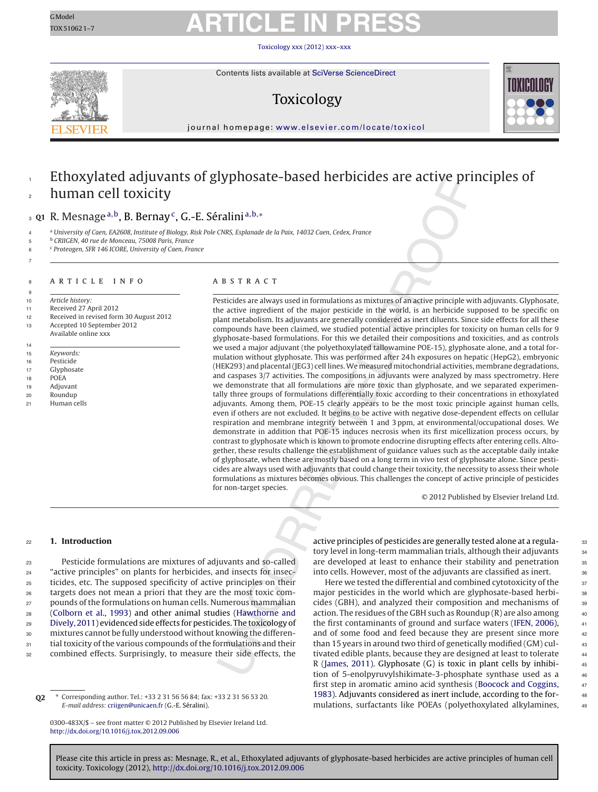TOX510621–7

# GModel **ARTICLE IN PRESS**

Toxicology [xxx \(2012\) xxx–xxx](dx.doi.org/10.1016/j.tox.2012.09.006)



Contents lists available at SciVerse [ScienceDirect](http://www.sciencedirect.com/science/journal/0300483X)

### Toxicology



jour nal homepage: [www.elsevier.com/locate/toxicol](http://www.elsevier.com/locate/toxicol)

Please cite this article in press as: Mesnage, R., et al., Ethoxylated adjuvants of glyphosate-based herbicides are active principles of human cell

#### Ethoxylated adjuvants of glyphosate-based herbicides are active principles of human cell toxicity 1 2

### <sup>3</sup> Q1 R. Mesnage<sup>a,b</sup>, B. Bernay<sup>c</sup>, G.-E. Séralini<sup>a,b,∗</sup>

a University of Caen, EA2608, Institute of Biology, Risk Pole CNRS, Esplanade de la Paix, 14032 Caen, Cedex, France

<sup>b</sup> CRIIGEN, 40 rue de Monceau, 75008 Paris, France <sup>c</sup> <sup>6</sup> Proteogen, SFR 146 ICORE, University of Caen, France

7

#### 8 ARTICLE INFO

9 10 Article history:

11 Received 27 April 2012

12 Received in revised form 30 August 2012

- 13 Accepted 10 September 2012
- Available online xxx
- 14 15 Keywords:
- 16 Pesticide
- 17 Glyphosate
- 18 POEA
- 19 Adjuvant
- 20 Roundup
- 21 Human cells

#### A B S T R A C T

Pesticides are always used in formulations as mixtures of an active principle with adjuvants. Glyphosate, the active ingredient of the major pesticide in the world, is an herbicide supposed to be specific on plant metabolism. Its adjuvants are generally considered as inert diluents. Since side effects for all these compounds have been claimed, we studied potential active principles for toxicity on human cells for 9 glyphosate-based formulations. For this we detailed their compositions and toxicities, and as controls we used a major adjuvant (the polyethoxylated tallowamine POE-15), glyphosate alone, and a total formulation without glyphosate. This was performed after 24 h exposures on hepatic (HepG2), embryonic (HEK293) and placental (JEG3) cell lines. We measured mitochondrial activities, membrane degradations, and caspases 3/7 activities. The compositions in adjuvants were analyzed by mass spectrometry. Here we demonstrate that all formulations are more toxic than glyphosate, and we separated experimentally three groups of formulations differentially toxic according to their concentrations in ethoxylated adjuvants. Among them, POE-15 clearly appears to be the most toxic principle against human cells, even if others are not excluded. It begins to be active with negative dose-dependent effects on cellular respiration and membrane integrity between 1 and 3 ppm, at environmental/occupational doses. We demonstrate in addition that POE-15 induces necrosis when its first micellization process occurs, by contrast to glyphosate which is known to promote endocrine disrupting effects after entering cells. Altogether, these results challenge the establishment of guidance values such as the acceptable daily intake of glyphosate, when these are mostly based on a long term in vivo test of glyphosate alone. Since pesticides are always used with adjuvants that could change their toxicity, the necessity to assess their whole formulations as mixtures becomes obvious. This challenges the concept of active principle of pesticides for non-target species.

© 2012 Published by Elsevier Ireland Ltd.

#### <sup>22</sup> **1. Introduction**

 Pesticide formulations are mixtures of adjuvants and so-called "active principles" on plants for herbicides, and insects for insec- ticides, etc. The supposed specificity of active principles on their targets does not mean a priori that they are the most toxic com- pounds of the formulations on human cells. Numerous mammalian ([Colborn](#page-6-0) et [al.,](#page-6-0) [1993\)](#page-6-0) and other animal studies ([Hawthorne](#page-6-0) [and](#page-6-0) [Dively,](#page-6-0) [2011\)](#page-6-0) evidenced side effects for pesticides. The toxicology of mixtures cannot be fully understood without knowing the differen-31 tial toxicity of the various compounds of the formulations and their combined effects. Surprisingly, to measure their side effects, the

**Q2** ∗ Corresponding author. Tel.: +33 2 31 56 56 84; fax: +33 2 31 56 53 20. E-mail address: [criigen@unicaen.fr](mailto:criigen@unicaen.fr) (G.-E. Séralini).

0300-483X/\$ – see front matter © 2012 Published by Elsevier Ireland Ltd. [http://dx.doi.org/10.1016/j.tox.2012.09.006](dx.doi.org/10.1016/j.tox.2012.09.006)

toxicity. Toxicology (2012), [http://dx.doi.org/10.1016/j.tox.2012.09.006](dx.doi.org/10.1016/j.tox.2012.09.006)

active principles of pesticides are generally tested alone at a regula-<br>33 tory level in long-term mammalian trials, although their adjuvants 34 are developed at least to enhance their stability and penetration 35 into cells. However, most of the adjuvants are classified as inert. 36

Here we tested the differential and combined cytotoxicity of the  $37$ major pesticides in the world which are glyphosate-based herbi-<br>38 cides (GBH), and analyzed their composition and mechanisms of <sup>39</sup> action. The residues of the GBH such as Roundup  $(R)$  are also among  $40$ the first contaminants of ground and surface waters ([IFEN,](#page-6-0) [2006\),](#page-6-0)  $41$ and of some food and feed because they are present since more  $42$ than 15 years in around two third of genetically modified (GM) cul- <sup>43</sup> tivated edible plants, because they are designed at least to tolerate <sup>44</sup> R ([James,](#page-6-0) [2011\).](#page-6-0) Glyphosate (G) is toxic in plant cells by inhibi-  $45$ tion of 5-enolpyruvylshikimate-3-phosphate synthase used as a 46 first step in aromatic amino acid synthesis [\(Boocock](#page-6-0) [and](#page-6-0) [Coggins,](#page-6-0) <sup>47</sup> [1983\).](#page-6-0) Adjuvants considered as inert include, according to the for-<br>48 mulations, surfactants like POEAs (polyethoxylated alkylamines, <sup>49</sup>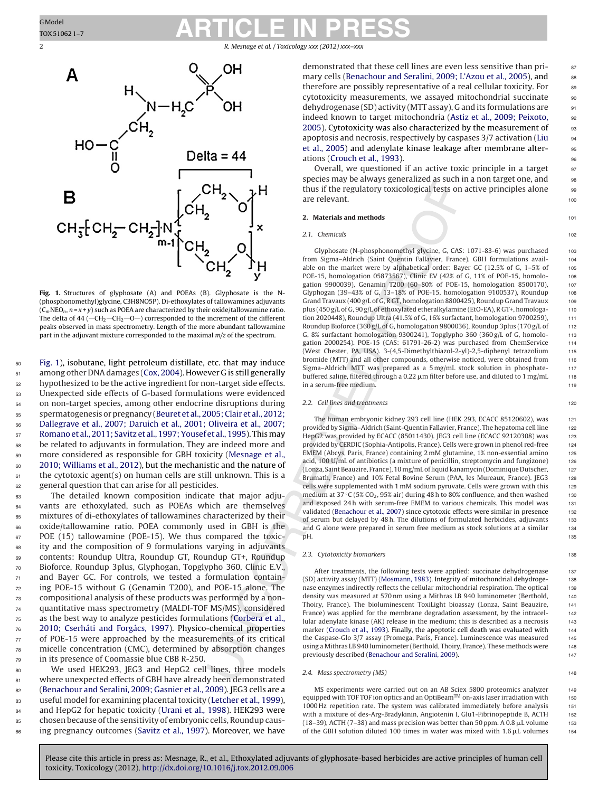<span id="page-1-0"></span>2 R. Mesnage et al. / Toxicology *xxx (2012) xxx–xxx*



**Fig. 1.** Structures of glyphosate (A) and POEAs (B). Glyphosate is the N- (phosphonomethyl)glycine, C3H8NO5P). Di-ethoxylates of tallowamines adjuvants  $(C_mNEO_n, n = x + y)$  such as POEA are characterized by their oxide/tallowamine ratio. The delta of 44 ( $-CH_2$ – $CH_2$ – $O$ ) corresponded to the increment of the different peaks observed in mass spectrometry. Length of the more abundant tallowamine part in the adjuvant mixture corresponded to the maximal  $m/z$  of the spectrum.

 Fig. 1), isobutane, light petroleum distillate, etc. that may induce among other DNA damages ([Cox,](#page-6-0) [2004\).](#page-6-0) However G is still generally 52 hypothesized to be the active ingredient for non-target side effects. Unexpected side effects of G-based formulations were evidenced on non-target species, among other endocrine disruptions during spermatogenesis or pregnancy [\(Beuret](#page-6-0) et [al.,](#page-6-0) [2005;](#page-6-0) [Clair](#page-6-0) et [al.,](#page-6-0) [2012;](#page-6-0) [Dallegrave](#page-6-0) et [al.,](#page-6-0) [2007;](#page-6-0) [Daruich](#page-6-0) et [al.,](#page-6-0) [2001;](#page-6-0) [Oliveira](#page-6-0) et [al.,](#page-6-0) [2007;](#page-6-0) [Romano](#page-6-0) et [al.,](#page-6-0) [2011;](#page-6-0) [Savitz](#page-6-0) et [al.,](#page-6-0) [1997;Yousef](#page-6-0) et [al.,](#page-6-0) [1995\).](#page-6-0) Thismay be related to adjuvants in formulation. They are indeed more and more considered as responsible for GBH toxicity ([Mesnage](#page-6-0) et [al.,](#page-6-0) [2010;](#page-6-0) [Williams](#page-6-0) et [al.,](#page-6-0) [2012\),](#page-6-0) but the mechanistic and the nature of the cytotoxic agent(s) on human cells are still unknown. This is a general question that can arise for all pesticides.

 The detailed known composition indicate that major adju- vants are ethoxylated, such as POEAs which are themselves mixtures of di-ethoxylates of tallowamines characterized by their oxide/tallowamine ratio. POEA commonly used in GBH is the 67 POE (15) tallowamine (POE-15). We thus compared the toxic- ity and the composition of 9 formulations varying in adjuvants contents: Roundup Ultra, Roundup GT, Roundup GT+, Roundup Bioforce, Roundup 3plus, Glyphogan, Topglypho 360, Clinic E.V., and Bayer GC. For controls, we tested a formulation contain- ing POE-15 without G (Genamin T200), and POE-15 alone. The compositional analysis of these products was performed by a non- quantitative mass spectrometry (MALDI-TOF MS/MS), considered as the best way to analyze pesticides formulations ([Corbera](#page-6-0) et [al.,](#page-6-0) [2010;](#page-6-0) [Cserháti](#page-6-0) [and](#page-6-0) [Forgács,](#page-6-0) [1997\).](#page-6-0) Physico-chemical properties of POE-15 were approached by the measurements of its critical micelle concentration (CMC), determined by absorption changes in its presence of Coomassie blue CBB R-250.

80 We used HEK293, JEG3 and HepG2 cell lines, three models 81 where unexpected effects of GBH have already been demonstrated 82 ([Benachour](#page-6-0) [and](#page-6-0) [Seralini,](#page-6-0) [2009;](#page-6-0) [Gasnier](#page-6-0) et [al.,](#page-6-0) [2009\).](#page-6-0) JEG3 cells are a 83 useful model for examining placental toxicity ([Letcher](#page-6-0) et [al.,](#page-6-0) [1999\),](#page-6-0) 84 and HepG2 for hepatic toxicity ([Urani](#page-6-0) et [al.,](#page-6-0) [1998\).](#page-6-0) HEK293 were 85 chosen because of the sensitivity of embryonic cells, Roundup caus-<sup>86</sup> ing pregnancy outcomes ([Savitz](#page-6-0) et [al.,](#page-6-0) [1997\).](#page-6-0) Moreover, we have demonstrated that these cell lines are even less sensitive than pri-<br>s7 mary cells ([Benachour](#page-6-0) [and](#page-6-0) [Seralini,](#page-6-0) [2009;](#page-6-0) [L'Azou](#page-6-0) et [al.,](#page-6-0) [2005\),](#page-6-0) and as therefore are possibly representative of a real cellular toxicity. For so cytotoxicity measurements, we assayed mitochondrial succinate 90 dehydrogenase (SD) activity (MTT assay), G and its formulations are  $\qquad \qquad$  91 indeed known to target mitochondria ([Astiz](#page-5-0) et [al.,](#page-5-0) [2009;](#page-5-0) [Peixoto,](#page-5-0) 92 [2005\).](#page-5-0) Cytotoxicity was also characterized by the measurement of 33 apoptosis and necrosis, respectively by caspases 3/7 activation [\(Liu](#page-6-0) <sup>94</sup> et [al.,](#page-6-0) [2005\)](#page-6-0) and adenylate kinase leakage after membrane alter-<br>95 ations ([Crouch](#page-6-0) et [al.,](#page-6-0) [1993\).](#page-6-0) And the set of the set of the set of the set of the set of the set of the set of the set of the set of the set of the set of the set of the set of the set of the set of the set of the set of t

Overall, we questioned if an active toxic principle in a target 97 species may be always generalized as such in a non target one, and sa thus if the regulatory toxicological tests on active principles alone 99 are relevant.

#### **2. Materials and methods** 101

#### 2.1. Chemicals 102

Glyphosate (N-phosphonomethyl glycine, G, CAS: 1071-83-6) was purchased 103 from Sigma–Aldrich (Saint Quentin Fallavier, France). GBH formulations avail- 104 able on the market were by alphabetical order: Bayer GC  $(12.5\% \text{ of } G, 1-5\% \text{ of } 105)$ POE-15, homologation 05873567), Clinic EV (42% of G, 11% of POE-15, homolo-<br>106 gation 9900039), Genamin T200 (60-80% of POE-15, homologation 8500170), 107 Glyphogan (39–43% of G, 13–18% of POE-15, homologation 9100537), Roundup  $108$ Grand Travaux  $(400 \text{ g/L of G, R GT, homologation 8800425)$ , Roundup Grand Travaux 109 plus (450 g/L of G, 90 g/L of ethoxylated etheralkylamine (EtO-EA), R GT+, homologa- 110 tion 2020448), Roundup Ultra (41.5% of G, 16% surfactant, homologation 9700259), 111 Roundup Bioforce (360 g/L of G, homologation 9800036), Roundup 3plus (170 g/L of  $112$ G, 8% surfactant homologation 9300241), Topglypho 360 (360 g/L of G, homolo- 113 gation 2000254). POE-15 (CAS: 61791-26-2) was purchased from ChemService 114 (West Chester, PA, USA). 3-(4,5-Dimethylthiazol-2-yl)-2,5-diphenyl tetrazolium 115 bromide (MTT) and all other compounds, otherwise noticed, were obtained from 116 Sigma–Aldrich. MTT was prepared as a 5 mg/mL stock solution in phosphate- 117 buffered saline, filtered through a 0.22  $\mu$ m filter before use, and diluted to 1 mg/mL 118 in a serum-free medium. 119

#### 2.2. Cell lines and treatments 120

The human embryonic kidney 293 cell line (HEK 293, ECACC 85120602), was 121 provided by Sigma–Aldrich (Saint-Quentin Fallavier, France). The hepatoma cell line 122 HepG2 was provided by ECACC (85011430). JEG3 cell line (ECACC 92120308) was 123 provided by CERDIC (Sophia-Antipolis, France). Cells were grown in phenol red-free 124 EMEM (Abcys, Paris, France) containing 2 mM glutamine, 1% non-essential amino 125 acid,  $100$  U/mL of antibiotics (a mixture of penicillin, streptomycin and fungizone)  $126$ (Lonza, Saint Beauzire, France), 10 mg/mL of liquid kanamycin (Dominique Dutscher, 127 Brumath, France) and 10% Fetal Bovine Serum (PAA, les Mureaux, France). JEG3 128 cells were supplemented with 1 mM sodium pyruvate. Cells were grown with this 129 medium at  $37^{\circ}$ C (5% CO<sub>2</sub>, 95% air) during 48 h to 80% confluence, and then washed 130 and exposed 24h with serum-free EMEM to various chemicals. This model was 131 validated [\(Benachour](#page-6-0) et [al.,](#page-6-0) [2007\)](#page-6-0) since cytotoxic effects were similar in presence 132 of serum but delayed by 48 h. The dilutions of formulated herbicides, adjuvants 133 and G alone were prepared in serum free medium as stock solutions at a similar 134 pH. the contract of the contract of the contract of the contract of the contract of the contract of the contract of the contract of the contract of the contract of the contract of the contract of the contract of the contra

#### 2.3. Cytotoxicity biomarkers 136

After treatments, the following tests were applied: succinate dehydrogenase 137 (SD) activity assay (MTT) ([Mosmann,](#page-6-0) [1983\).](#page-6-0) Integrity of mitochondrial dehydroge- 138 nase enzymes indirectly reflects the cellular mitochondrial respiration. The optical 139 density was measured at 570 nm using a Mithras LB 940 luminometer (Berthold, 140 Thoiry, France). The bioluminescent ToxiLight bioassay (Lonza, Saint Beauzire, 141 France) was applied for the membrane degradation assessment, by the intracel-<br>142 lular adenylate kinase (AK) release in the medium; this is described as a necrosis 143 marker [\(Crouch](#page-6-0) et [al.,](#page-6-0) [1993\).](#page-6-0) Finally, the apoptotic cell death was evaluated with 144 the Caspase-Glo 3/7 assay (Promega, Paris, France). Luminescence was measured 145 using a Mithras LB 940 luminometer (Berthold, Thoiry, France). These methods were 146 previously described ([Benachour](#page-6-0) [and](#page-6-0) [Seralini,](#page-6-0) [2009\).](#page-6-0) 147

#### 2.4. Mass spectrometry (MS) 148

MS experiments were carried out on an AB Sciex 5800 proteomics analyzer 149 equipped with TOF TOF ion optics and an OptiBeam™ on-axis laser irradiation with 150 1000 Hz repetition rate. The system was calibrated immediately before analysis 151 with a mixture of des-Arg-Bradykinin, Angiotenin I, Glu1-Fibrinopeptide B, ACTH 152 (18–39), ACTH (7–38) and mass precision was better than 50 ppm. A 0.8  $\mu$ L volume  $153$ of the GBH solution diluted 100 times in water was mixed with  $1.6 \mu L$  volumes 154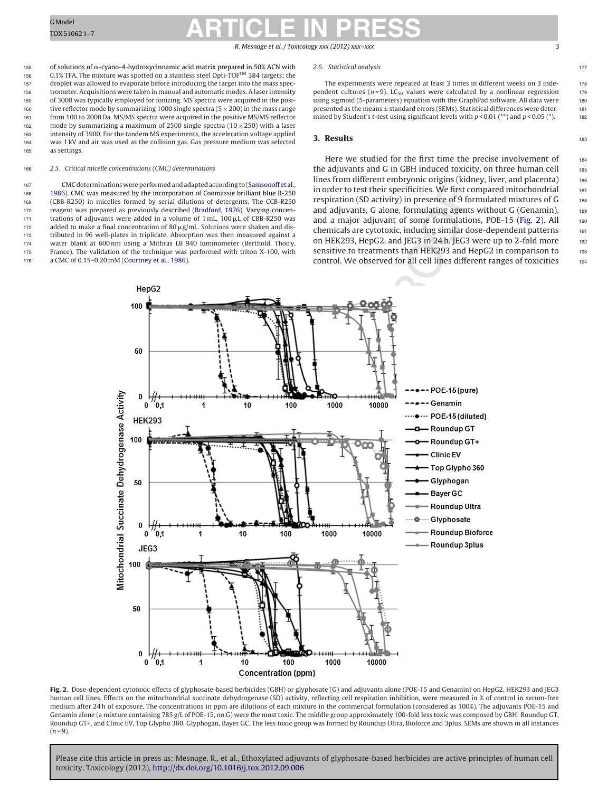#### R. Mesnage et al. / Toxicology *xxx (2012) xxx–xxx* 3

<span id="page-2-0"></span>155 of solutions of  $\alpha$ -cyano-4-hydroxycinnamic acid matrix prepared in 50% ACN with 156 0.1% TFA. The mixture was spotted on a stainless steel Opti-TOFTM 384 targets; the 157 droplet was allowed to evaporate before introducing the target into the mass spec-158 trometer. Acquisitions were taken in manual and automatic modes. A laser intensity 159 of 3000 was typically employed for ionizing. MS spectra were acquired in the posi-160 tive reflector mode by summarizing 1000 single spectra  $(5 \times 200)$  in the mass range<br>161 to 2000 Da. MS/MS spectra were acquired in the positive MS/MS reflector from 100 to 2000 Da. MS/MS spectra were acquired in the positive MS/MS reflector 162 mode by summarizing a maximum of 2500 single spectra  $(10 \times 250)$  with a laser<br>163 intensity of 3900. For the tandem MS experiments, the acceleration voltage applied intensity of 3900. For the tandem MS experiments, the acceleration voltage applied 164 was 1 kV and air was used as the collision gas. Gas pressure medium was selected 165 as settings.

#### 166 2.5. Critical micelle concentrations (CMC) determinations

167 CMC determinations were performed and adapted according to ([Samsonoff](#page-6-0) et [al.,](#page-6-0) [1986\).](#page-6-0) CMC was measured by the incorporation of Coomassie brilliant blue R-250 (CBB-R250) in micelles formed by serial dilutions of detergents. The CCB-R250 reagent was prepared as previously described [\(Bradford,](#page-6-0) [1976\).](#page-6-0) Varying concen-171 trations of adjuvants were added in a volume of  $1 \text{ mL}$ ,  $100 \mu$ L of CBB-R250 was 172 added to make a final concentration of 80  $\mu$ g/mL. Solutions were shaken and dis- tributed in 96 well-plates in triplicate. Absorption was then measured against a water blank at 600 nm using a Mithras LB 940 luminometer (Berthold, Thoiry, France). The validation of the technique was performed with triton X-100, with a CMC of 0.15–0.20 mM ([Courtney](#page-6-0) et [al.,](#page-6-0) [1986\).](#page-6-0)

#### 2.6. Statistical analysis 177

The experiments were repeated at least 3 times in different weeks on 3 inde- 178 pendent cultures ( $n = 9$ ). LC<sub>50</sub> values were calculated by a nonlinear regression 179 using sigmoid (5-parameters) equation with the GraphPad software. All data were 180 using sigmoid (5-parameters) equation with the GraphPad software. All data were presented as the means  $\pm$  standard errors (SEMs). Statistical differences were deter-<br>mined by Student's *t*-test using significant levels with  $p < 0.01$  (\*\*) and  $p < 0.05$  (\*). mined by Student's *t*-test using significant levels with  $p < 0.01$  (\*\*) and  $p < 0.05$  (\*).

#### **3. Results** 183

Here we studied for the first time the precise involvement of  $184$ the adjuvants and G in GBH induced toxicity, on three human cell  $185$ lines from different embryonic origins (kidney, liver, and placenta) 186 in order to test their specificities. We first compared mitochondrial 187 respiration (SD activity) in presence of 9 formulated mixtures of G 188 and adjuvants, G alone, formulating agents without G (Genamin),  $189$ and a major adjuvant of some formulations, POE-15 (Fig. 2). All  $_{190}$ chemicals are cytotoxic, inducing similar dose-dependent patterns <sup>191</sup> on HEK293, HepG2, and JEG3 in 24 h. JEG3 were up to 2-fold more 192 sensitive to treatments than HEK293 and HepG2 in comparison to 193 control. We observed for all cell lines different ranges of toxicities 194



**Fig. 2.** Dose-dependent cytotoxic effects of glyphosate-based herbicides (GBH) or glyphosate (G) and adjuvants alone (POE-15 and Genamin) on HepG2, HEK293 and JEG3 human cell lines. Effects on the mitochondrial succinate dehydrogenase (SD) activity, reflecting cell respiration inhibition, were measured in % of control in serum-free medium after 24 h of exposure. The concentrations in ppm are dilutions of each mixture in the commercial formulation (considered as 100%). The adjuvants POE-15 and Genamin alone (a mixture containing 785 g/L of POE-15, no G) were the most toxic. The middle group approximately 100-fold less toxic was composed by GBH: Roundup GT, Roundup GT+, and Clinic EV, Top Glypho 360, Glyphogan, Bayer GC. The less toxic group was formed by Roundup Ultra, Bioforce and 3plus. SEMs are shown in all instances  $(n = 9)$ .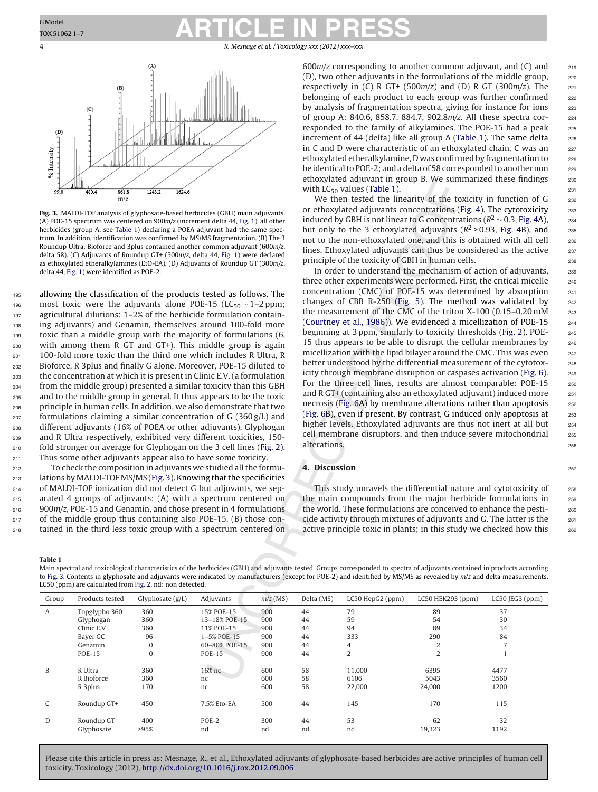4 R. Mesnage et al. / Toxicology *xxx (2012) xxx–xxx*



**Fig. 3.** MALDI-TOF analysis of glyphosate-based herbicides (GBH) main adjuvants. (A) POE-15 spectrum was centered on 900m/z (increment delta 44, [Fig.](#page-1-0) [1\),](#page-1-0) all other herbicides (group A, see Table 1) declaring a POEA adjuvant had the same spectrum. In addition, identification was confirmed by MS/MS fragmentation. (B) The 3 Roundup Ultra, Bioforce and 3plus contained another common adjuvant (600m/z, delta 58). (C) Adjuvants of Roundup GT+ (500m/z, delta 44, [Fig.](#page-1-0) [1\)](#page-1-0) were declared as ethoxylated etheralkylamines (EtO-EA). (D) Adjuvants of Roundup GT (300m/z, delta 44, [Fig.](#page-1-0) [1\)](#page-1-0) were identified as POE-2.

 allowing the classification of the products tested as follows. The 196 most toxic were the adjuvants alone POE-15 (LC<sub>50</sub> ~ 1–2 ppm;<br>197 agricultural dilutions: 1–2% of the herbicide formulation containagricultural dilutions: 1–2% of the herbicide formulation contain- ing adjuvants) and Genamin, themselves around 100-fold more toxic than a middle group with the majority of formulations (6, with among them R GT and GT+). This middle group is again 100-fold more toxic than the third one which includes R Ultra, R Bioforce, R 3plus and finally G alone. Moreover, POE-15 diluted to the concentration at which it is present in Clinic E.V. (a formulation from the middle group) presented a similar toxicity than this GBH and to the middle group in general. It thus appears to be the toxic principle in human cells. In addition, we also demonstrate that two formulations claiming a similar concentration of G (360 g/L) and different adjuvants (16% of POEA or other adjuvants), Glyphogan and R Ultra respectively, exhibited very different toxicities, 150- fold stronger on average for Glyphogan on the 3 cell lines [\(Fig.](#page-2-0) 2). Thus some other adjuvants appear also to have some toxicity.

 To check the composition in adjuvants we studied allthe formu-213 lations by MALDI-TOF MS/MS (Fig. 3). Knowing that the specificities of MALDI-TOF ionization did not detect G but adjuvants, we sep- arated 4 groups of adjuvants: (A) with a spectrum centered on 900m/z, POE-15 and Genamin, and those present in 4 formulations of the middle group thus containing also POE-15, (B) those con-tained in the third less toxic group with a spectrum centered on

toxicity. Toxicology (2012), [http://dx.doi.org/10.1016/j.tox.2012.09.006](dx.doi.org/10.1016/j.tox.2012.09.006)

 $600m/z$  corresponding to another common adjuvant, and (C) and  $219$  $(D)$ , two other adjuvants in the formulations of the middle group,  $220$ respectively in (C) R GT+ (500m/z) and (D) R GT (300m/z). The  $221$ belonging of each product to each group was further confirmed 222 by analysis of fragmentation spectra, giving for instance for ions 223 of group A: 840.6, 858.7, 884.7, 902.8m/z. All these spectra cor-<br>
<sub>224</sub> responded to the family of alkylamines. The POE-15 had a peak 225 increment of 44 (delta) like all group A (Table 1). The same delta  $226$ in C and D were characteristic of an ethoxylated chain. C was an  $227$ ethoxylated etheralkylamine, D was confirmed by fragmentation to 228 be identical to POE-2; and a delta of 58 corresponded to another non 229 ethoxylated adjuvant in group B. We summarized these findings 230 with  $LC_{50}$  values (Table 1). 231

We then tested the linearity of the toxicity in function of G 232 or ethoxylated adjuvants concentrations ([Fig.](#page-4-0) 4). The cytotoxicity 233 induced by GBH is not linear to G concentrations ( $R^2 \sim 0.3$ , [Fig.](#page-4-0) 4A), 234 but only to the 3 ethoxylated adjuvants ( $R^2 > 0.93$ , [Fig.](#page-4-0) 4B), and 235 not to the non-ethoxylated one, and this is obtained with all cell <sub>236</sub> lines. Ethoxylated adjuvants can thus be considered as the active 237 principle of the toxicity of GBH in human cells.  $238$ 

In order to understand the mechanism of action of adjuvants, 239 three other experiments were performed. First, the critical micelle <sub>240</sub> concentration (CMC) of POE-15 was determined by absorption <sup>241</sup> changes of CBB R-250 ([Fig.](#page-4-0) 5). The method was validated by  $242$ the measurement of the CMC of the triton  $X-100$  (0.15-0.20 mM  $243$ [\(Courtney](#page-6-0) et [al.,](#page-6-0) [1986\)\)](#page-6-0). We evidenced a micellization of POE-15 <sup>244</sup> beginning at 3 ppm, similarly to toxicity thresholds ([Fig.](#page-2-0) 2). POE-<br>245 15 thus appears to be able to disrupt the cellular membranes by  $246$ micellization with the lipid bilayer around the CMC. This was even  $_{247}$ better understood by the differential measurement of the cytotox-<br>248 icity through membrane disruption or caspases activation ([Fig.](#page-5-0)  $6$ ).  $249$ For the three cell lines, results are almost comparable: POE-15 250 and R GT+ (containing also an ethoxylated adjuvant) induced more  $251$ necrosis [\(Fig.](#page-5-0)  $6A$ ) by membrane alterations rather than apoptosis  $252$ [\(Fig.](#page-5-0)  $6B$ ), even if present. By contrast, G induced only apoptosis at  $253$ higher levels. Ethoxylated adjuvants are thus not inert at all but 254 cell membrane disruptors, and then induce severe mitochondrial 255 alterations. 256

#### **4. Discussion** <sup>257</sup>

This study unravels the differential nature and cytotoxicity of 258 the main compounds from the major herbicide formulations in  $258$ the world. These formulations are conceived to enhance the pesti-<br>260 cide activity through mixtures of adjuvants and G. The latter is the 261 active principle toxic in plants; in this study we checked how this  $262$ 

Main spectral and toxicological characteristics of the herbicides (GBH) and adjuvants tested. Groups corresponded to spectra of adjuvants contained in products according to Fig. 3. Contents in glyphosate and adjuvants were indicated by manufacturers (except for POE-2) and identified by MS/MS as revealed by m/z and delta measurements. LC50 (ppm) are calculated from [Fig.](#page-2-0) 2. nd: non detected.

| Group        | Products tested     | Glyphosate $(g/L)$ | Adjuvants     | $m/z$ (MS) | Delta (MS) | LC50 HepG2 (ppm) | $LC50$ HEK293 (ppm) | LC50 [EG3 (ppm) |
|--------------|---------------------|--------------------|---------------|------------|------------|------------------|---------------------|-----------------|
| $\mathsf{A}$ | Topglypho 360       | 360                | 15% POE-15    | 900        | 44         | 79               | 89                  | 37              |
|              | Glyphogan           | 360                | 13-18% POE-15 | 900        | 44         | 59               | 54                  | 30              |
|              | Clinic E.V          | 360                | 11% POE-15    | 900        | 44         | 94               | 89                  | 34              |
|              | Bayer GC            | 96                 | 1-5% POE-15   | 900        | 44         | 333              | 290                 | 84              |
|              | Genamin             | $\mathbf{0}$       | 60-80% POE-15 | 900        | 44         | 4                | ∠                   |                 |
|              | <b>POE-15</b>       | $\mathbf{0}$       | <b>POE-15</b> | 900        | 44         | $\overline{2}$   | 2                   |                 |
|              |                     |                    |               |            |            |                  |                     |                 |
| B            | R Ultra             | 360                | 16% nc        | 600        | 58         | 11.000           | 6395                | 4477            |
|              | R Bioforce          | 360                | nc            | 600        | 58         | 6106             | 5043                | 3560            |
|              | R <sub>3</sub> plus | 170                | nc            | 600        | 58         | 22,000           | 24,000              | 1200            |
|              | Roundup GT+         | 450                | 7.5% Eto-EA   | 500        | 44         | 145              | 170                 | 115             |
| D            | Roundup GT          | 400                | POE-2         | 300        | 44         | 53               | 62                  | 32              |
|              | Glyphosate          | >95%               | nd            | nd         | nd         | nd               | 19,323              | 1192            |

Please cite this article in press as: Mesnage, R., et al., Ethoxylated adjuvants of glyphosate-based herbicides are active principles of human cell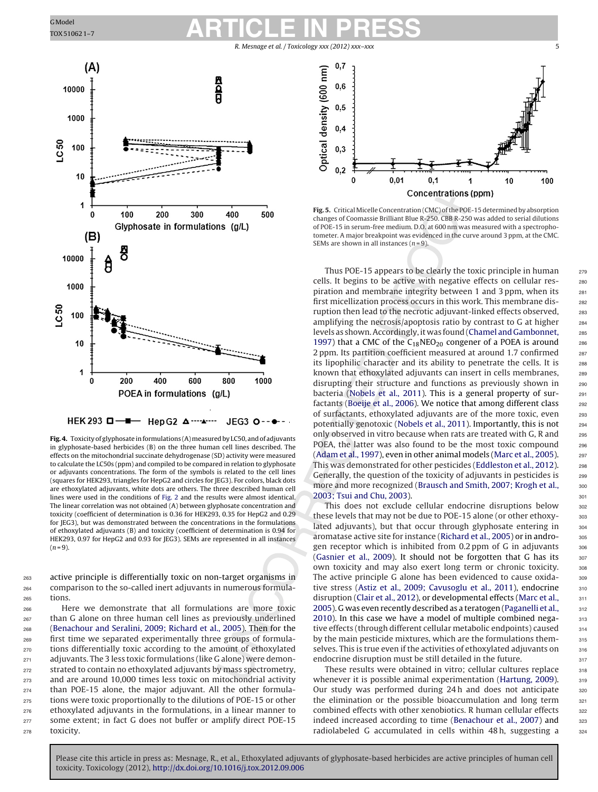R. Mesnage et al. / Toxicology xxx (2012) xxx-xx

<span id="page-4-0"></span>

Fig. 4. Toxicity of glyphosate in formulations (A) measured by LC50, and of adjuvants in glyphosate-based herbicides (B) on the three human cell lines described. The effects on the mitochondrial succinate dehydrogenase (SD) activity were measured to calculate the LC50s (ppm) and compiled to be compared in relation to glyphosate or adjuvants concentrations. The form of the symbols is related to the cell lines (squares for HEK293, triangles for HepG2 and circles for JEG3). For colors, black dots are ethoxylated adjuvants, white dots are others. The three described human cell lines were used in the conditions of [Fig.](#page-2-0) 2 and the results were almost identical. The linear correlation was not obtained (A) between glyphosate concentration and toxicity (coefficient of determination is 0.36 for HEK293, 0.35 for HepG2 and 0.29 for JEG3), but was demonstrated between the concentrations in the formulations of ethoxylated adjuvants (B) and toxicity (coefficient of determination is 0.94 for HEK293, 0.97 for HepG2 and 0.93 for JEG3). SEMs are represented in all instances  $(n = 9)$ .

<sup>263</sup> active principle is differentially toxic on non-target organisms in <sup>264</sup> comparison to the so-called inert adjuvants in numerous formula-<sup>265</sup> tions.

 Here we demonstrate that all formulations are more toxic than G alone on three human cell lines as previously underlined ([Benachour](#page-6-0) [and](#page-6-0) [Seralini,](#page-6-0) [2009;](#page-6-0) [Richard](#page-6-0) et [al.,](#page-6-0) [2005\).](#page-6-0) Then for the first time we separated experimentally three groups of formula- tions differentially toxic according to the amount of ethoxylated adjuvants. The 3 less toxic formulations (like G alone) were demon- strated to contain no ethoxylated adjuvants by mass spectrometry, and are around 10,000 times less toxic on mitochondrial activity than POE-15 alone, the major adjuvant. All the other formula- tions were toxic proportionally to the dilutions of POE-15 or other ethoxylated adjuvants in the formulations, in a linear manner to 277 some extent; in fact G does not buffer or amplify direct POE-15 toxicity.



**Fig. 5.** Critical Micelle Concentration (CMC) of the POE-15 determined by absorption changes of Coomassie Brilliant Blue R-250. CBB R-250 was added to serial dilutions of POE-15 in serum-free medium. D.O. at 600 nm was measured with a spectrophotometer. A major breakpoint was evidenced in the curve around 3 ppm, at the CMC. SEMs are shown in all instances ( $n = 9$ ).

Thus POE-15 appears to be clearly the toxic principle in human 279 cells. It begins to be active with negative effects on cellular res-<br>280 piration and membrane integrity between 1 and 3 ppm, when its 281 first micellization process occurs in this work. This membrane dis-<br>282 ruption then lead to the necrotic adjuvant-linked effects observed, <sub>283</sub> amplifying the necrosis/apoptosis ratio by contrast to G at higher 284 levels as shown. Accordingly, it was found ([Chamel](#page-6-0) [and](#page-6-0) [Gambonnet,](#page-6-0) 285 [1997\)](#page-6-0) that a CMC of the  $C_{18}$ NEO<sub>20</sub> congener of a POEA is around 286 2 ppm. Its partition coefficient measured at around 1.7 confirmed 287 its lipophilic character and its ability to penetrate the cells. It is 288 known that ethoxylated adjuvants can insert in cells membranes, 289 disrupting their structure and functions as previously shown in 290 bacteria [\(Nobels](#page-6-0) et [al.,](#page-6-0) [2011\).](#page-6-0) This is a general property of sur-<br>291 factants ([Boeije](#page-6-0) et [al.,](#page-6-0) [2006\).](#page-6-0) We notice that among different class 292 of surfactants, ethoxylated adjuvants are of the more toxic, even 293 potentially genotoxic ([Nobels](#page-6-0) et [al.,](#page-6-0) [2011\).](#page-6-0) Importantly, this is not <sup>294</sup> only observed in vitro because when rats are treated with G, R and  $_{295}$ POEA, the latter was also found to be the most toxic compound 296 [\(Adam](#page-5-0) et [al.,](#page-6-0) [1997\),](#page-5-0) even in other animal models [\(Marc](#page-6-0) et al., [2005\).](#page-6-0) 297 This was demonstrated for other pesticides ([Eddleston](#page-6-0) et [al.,](#page-6-0) [2012\).](#page-6-0) 298 Generally, the question of the toxicity of adjuvants in pesticides is 299 more and more recognized ([Brausch](#page-6-0) [and](#page-6-0) [Smith,](#page-6-0) [2007;](#page-6-0) [Krogh](#page-6-0) et [al.,](#page-6-0) 300 **[2003;](#page-6-0) [Tsui](#page-6-0) [and](#page-6-0) [Chu,](#page-6-0) [2003\).](#page-6-0)** 301

This does not exclude cellular endocrine disruptions below 302 these levels that may not be due to POE-15 alone (or other ethoxy- 303 lated adjuvants), but that occur through glyphosate entering in  $304$ aromatase active site for instance ([Richard](#page-6-0) et [al.,](#page-6-0) [2005\)](#page-6-0) or in andro-<br>305 gen receptor which is inhibited from  $0.2$  ppm of G in adjuvants  $306$ [\(Gasnier](#page-6-0) et [al.,](#page-6-0) [2009\).](#page-6-0) It should not be forgotten that G has its 307 own toxicity and may also exert long term or chronic toxicity. 308 The active principle G alone has been evidenced to cause oxida-<br>309 tive stress [\(Astiz](#page-5-0) et [al.,](#page-5-0) [2009;](#page-5-0) [Cavusoglu](#page-5-0) et al., [2011\),](#page-5-0) endocrine 310 disruption ([Clair](#page-6-0) et [al.,](#page-6-0) [2012\),](#page-6-0) or developmental effects ([Marc](#page-6-0) et al., 311 [2005\).](#page-6-0) G was even recently described as a teratogen [\(Paganelli](#page-6-0) et [al.,](#page-6-0) 312 [2010\).](#page-6-0) In this case we have a model of multiple combined nega- $313$ tive effects (through different cellular metabolic endpoints) caused  $314$ by the main pesticide mixtures, which are the formulations them-<br>315 selves. This is true even if the activities of ethoxylated adjuvants on  $\overline{3}16$ endocrine disruption must be still detailed in the future.  $317$ 

These results were obtained in vitro; cellular cultures replace 318 whenever it is possible animal experimentation [\(Hartung,](#page-6-0) [2009\).](#page-6-0) 319 Our study was performed during 24h and does not anticipate 320 the elimination or the possible bioaccumulation and long term  $321$ combined effects with other xenobiotics. R human cellular effects 322 indeed increased according to time [\(Benachour](#page-6-0) et [al.,](#page-6-0) [2007\)](#page-6-0) and 323 radiolabeled G accumulated in cells within  $48 h$ , suggesting a  $324$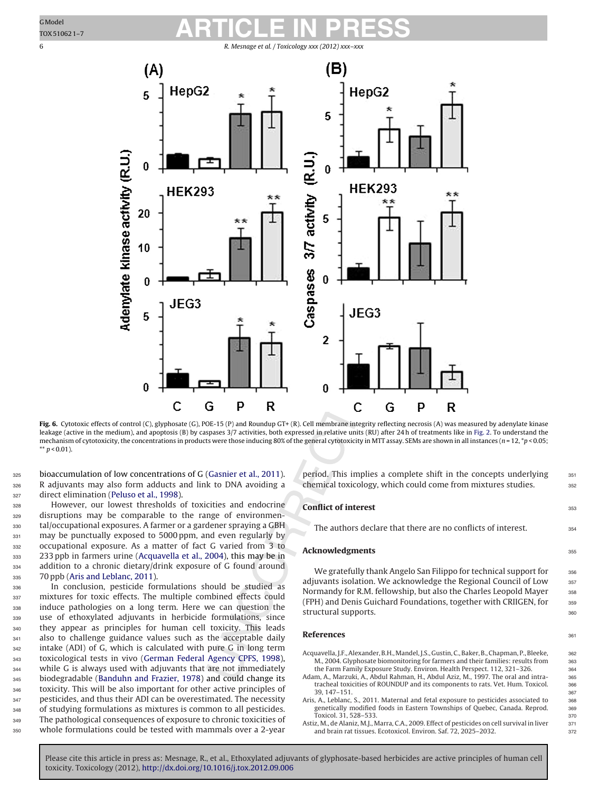<span id="page-5-0"></span>

**Fig. 6.** Cytotoxic effects of control (C), glyphosate (G), POE-15 (P) and Roundup GT+ (R). Cell membrane integrity reflecting necrosis (A) was measured by adenylate kinase leakage (active in the medium), and apoptosis (B) by caspases 3/7 activities, both expressed in relative units (RU) after 24 h of treatments like in [Fig.](#page-2-0) 2. To understand the mechanism of cytotoxicity, the concentrations in products were those inducing 80% of the general cytotoxicity in MTT assay. SEMs are shown in all instances (n = 12, \*p < 0.05; \*\*  $p < 0.01$ ).

325 bioaccumulation of low concentrations of G ([Gasnier](#page-6-0) et [al.,](#page-6-0) [2011\).](#page-6-0) <sup>326</sup> R adjuvants may also form adducts and link to DNA avoiding a <sup>327</sup> direct elimination [\(Peluso](#page-6-0) et [al.,](#page-6-0) [1998\).](#page-6-0)

 However, our lowest thresholds of toxicities and endocrine disruptions may be comparable to the range of environmen- tal/occupational exposures. A farmer or a gardener spraying a GBH 331 may be punctually exposed to 5000 ppm, and even regularly by occupational exposure. As a matter of fact G varied from 3 to 233 ppb in farmers urine (Acquavella et al., 2004), this may be in addition to a chronic dietary/drink exposure of G found around 335 70 ppb (Aris and Leblanc, 2011).

 In conclusion, pesticide formulations should be studied as 337 mixtures for toxic effects. The multiple combined effects could induce pathologies on a long term. Here we can question the use of ethoxylated adjuvants in herbicide formulations, since they appear as principles for human cell toxicity. This leads also to challenge guidance values such as the acceptable daily intake (ADI) of G, which is calculated with pure G in long term toxicological tests in vivo ([German](#page-6-0) [Federal](#page-6-0) [Agency](#page-6-0) [CPFS,](#page-6-0) [1998\),](#page-6-0) while G is always used with adjuvants that are not immediately biodegradable [\(Banduhn](#page-6-0) [and](#page-6-0) [Frazier,](#page-6-0) [1978\)](#page-6-0) and could change its toxicity. This will be also important for other active principles of 347 pesticides, and thus their ADI can be overestimated. The necessity of studying formulations as mixtures is common to all pesticides. The pathological consequences of exposure to chronic toxicities of whole formulations could be tested with mammals over a 2-year

period. This implies a complete shift in the concepts underlying 351 chemical toxicology, which could come from mixtures studies.  $\frac{352}{2}$ 

#### **Conflict of interest** 353

The authors declare that there are no conflicts of interest.  $354$ 

#### **Acknowledgments** 355

We gratefully thank Angelo San Filippo for technical support for 356 adjuvants isolation. We acknowledge the Regional Council of Low 357 Normandy for R.M. fellowship, but also the Charles Leopold Mayer 358 (FPH) and Denis Guichard Foundations, together with CRIIGEN, for 359 structural supports.  $360$ 

#### **References** 361

- Acquavella, J.F., Alexander, B.H., Mandel, J.S., Gustin, C., Baker, B., Chapman, P., Bleeke, 362 M., 2004. Glyphosate biomonitoring for farmers and their families: results from 363 the Farm Family Exposure Study. Environ. Health Perspect. 112, 321-326. 364
- Adam, A., Marzuki, A., Abdul Rahman, H., Abdul Aziz, M., 1997. The oral and intra- 365 tracheal toxicities of ROUNDUP and its components to rats. Vet. Hum. Toxicol. 366 39, 147–151. 367
- Aris, A., Leblanc, S., 2011. Maternal and fetal exposure to pesticides associated to 368 genetically modified foods in Eastern Townships of Quebec, Canada. Reprod. 369 Toxicol. 31, 528–533. 370
- Astiz, M., de Alaniz, M.J., Marra, C.A., 2009. Effect of pesticides on cell survival in liver 371 and brain rat tissues. Ecotoxicol. Environ. Saf. 72, 2025-2032. 372